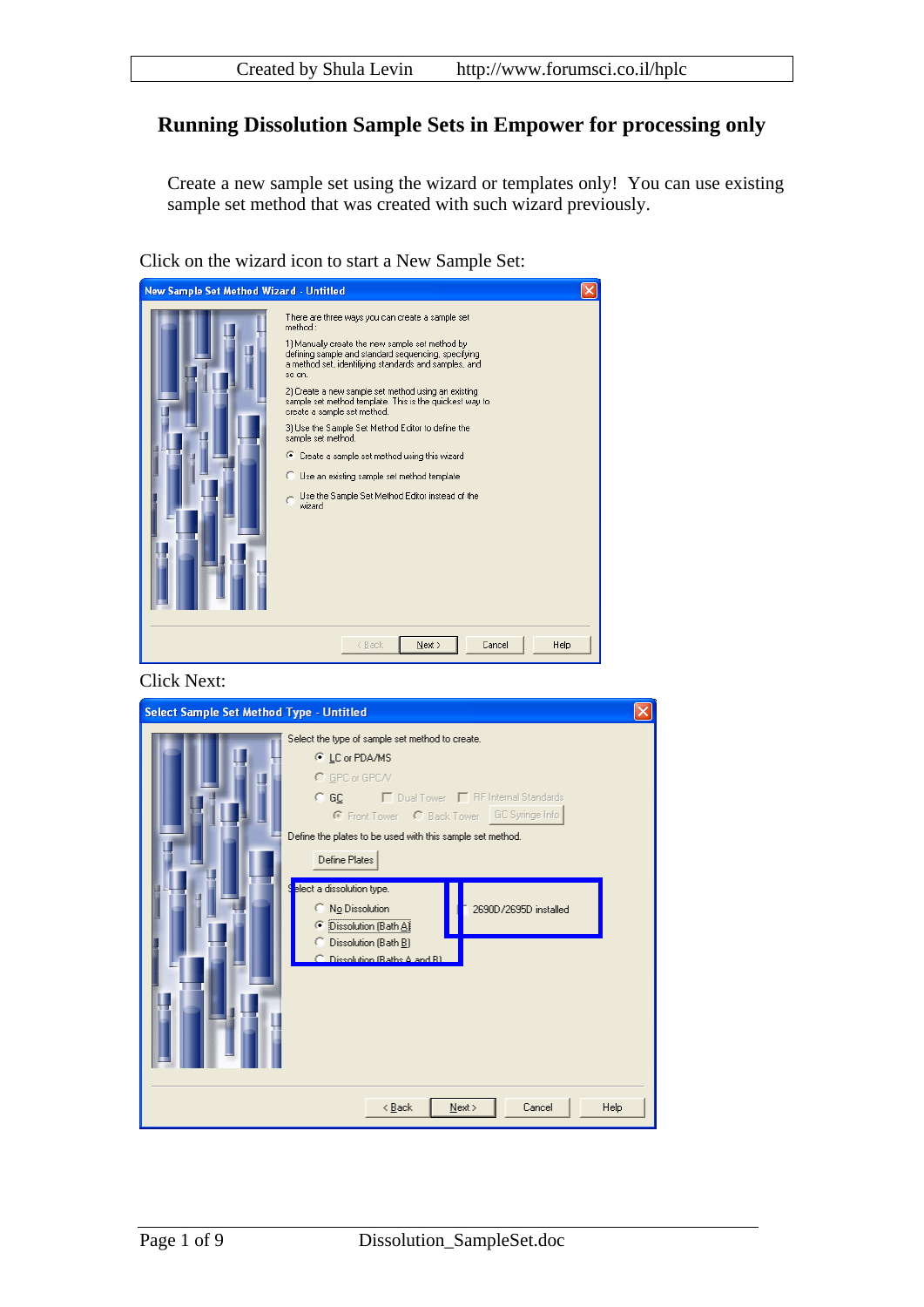# **Running Dissolution Sample Sets in Empower for processing only**

Create a new sample set using the wizard or templates only! You can use existing sample set method that was created with such wizard previously.

Click on the wizard icon to start a New Sample Set:

| New Sample Set Method Wizard - Untitled |                                                                                                                                                                                                                                                                                                                                                                                                                                                                                                                                                                                                                                     |  |
|-----------------------------------------|-------------------------------------------------------------------------------------------------------------------------------------------------------------------------------------------------------------------------------------------------------------------------------------------------------------------------------------------------------------------------------------------------------------------------------------------------------------------------------------------------------------------------------------------------------------------------------------------------------------------------------------|--|
|                                         | There are three ways you can create a sample set<br>method:<br>1) Manually create the new sample set method by<br>defining sample and standard sequencing, specifying<br>a method set, identifiving standards and samples, and<br>so on.<br>2) Create a new sample set method using an existing<br>sample set method template. This is the quickest way to<br>create a sample set method.<br>3) Use the Sample Set Method Editor to define the<br>sample set method.<br>● Create a sample set method using this wizard<br>○ Use an existing sample set method template<br>Use the Sample Set Method Editor instead of the<br>wizard |  |
|                                         | Next ><br>Cancel<br>< Back<br>Help                                                                                                                                                                                                                                                                                                                                                                                                                                                                                                                                                                                                  |  |

Click Next:

| Select Sample Set Method Type - Untitled                                                                                                                                                                                                                       |      |
|----------------------------------------------------------------------------------------------------------------------------------------------------------------------------------------------------------------------------------------------------------------|------|
| Select the type of sample set method to create.<br>C LC or PDA/MS<br>C GPC or GPC/V<br>© GC □ □ Dual Tower □ RF Internal Standards<br>C Front Tower C Back Tower GC Syringe Info<br>Define the plates to be used with this sample set method.<br>Define Plates |      |
| elect a dissolution type.<br>٩<br>No Dissolution<br>C.<br>2690D/2695D installed<br>● Dissolution (Bath A)<br>C Dissolution (Bath B)<br>Dissolution (Raths A and R)                                                                                             |      |
| Next ><br>Cancel<br>< <u>B</u> ack                                                                                                                                                                                                                             | Help |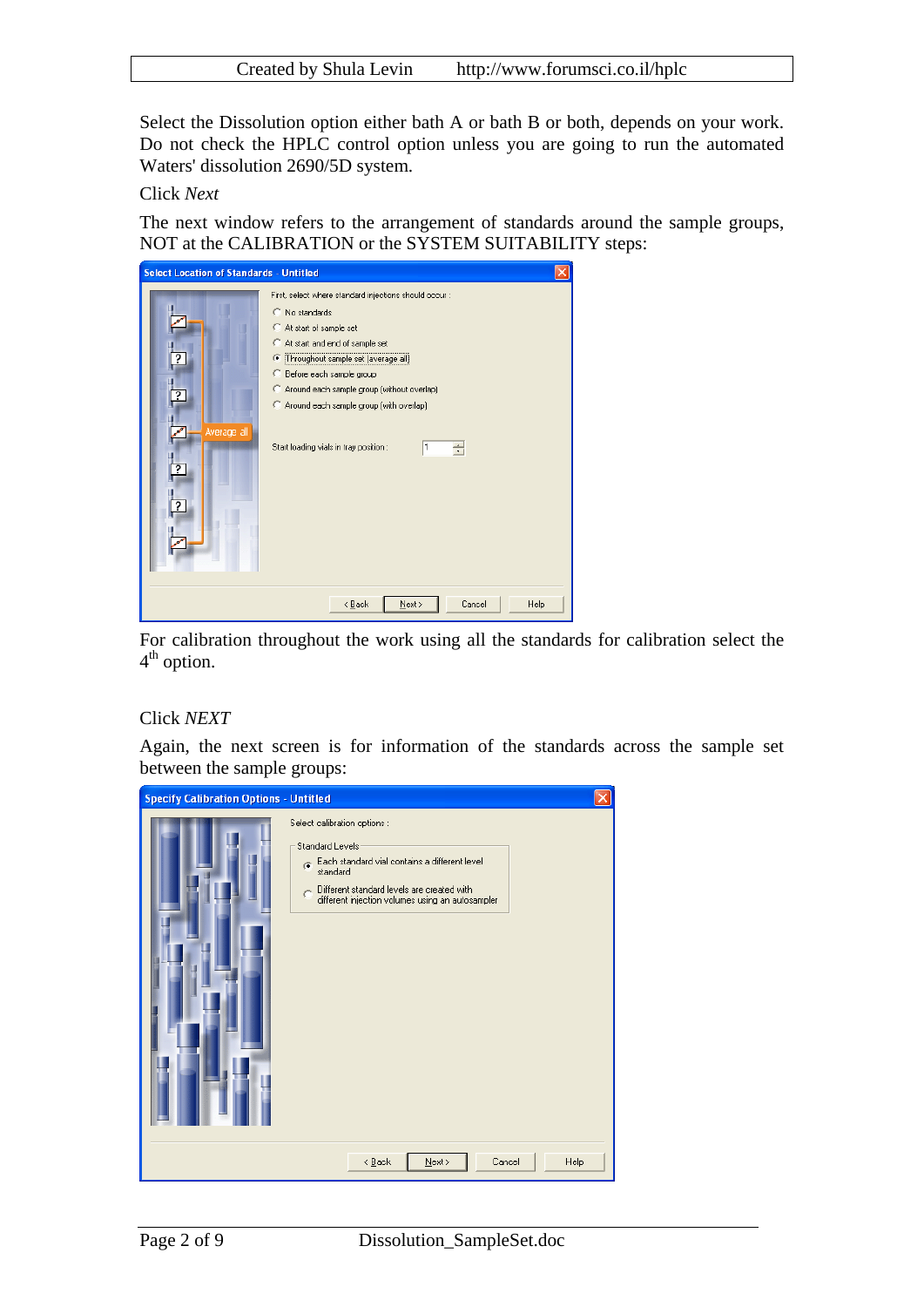| Created by Shula Levin | http://www.forumsci.co.il/hplc |
|------------------------|--------------------------------|
|                        |                                |

Select the Dissolution option either bath A or bath B or both, depends on your work. Do not check the HPLC control option unless you are going to run the automated Waters' dissolution 2690/5D system.

Click *Next*

The next window refers to the arrangement of standards around the sample groups, NOT at the CALIBRATION or the SYSTEM SUITABILITY steps:



For calibration throughout the work using all the standards for calibration select the 4<sup>th</sup> option.

#### Click *NEXT*

Again, the next screen is for information of the standards across the sample set between the sample groups:

| <b>Specify Calibration Options - Untitled</b> |                                                                                                                                                                                                                       |  |
|-----------------------------------------------|-----------------------------------------------------------------------------------------------------------------------------------------------------------------------------------------------------------------------|--|
|                                               | Select calibration options :<br>Standard Levels:<br>Each standard vial contains a different level<br>G.<br>standard<br>Different standard levels are created with<br>different injection volumes using an autosampler |  |
|                                               | $\leq$ Back<br>$N$ ext ><br>Cancel<br><b>Help</b>                                                                                                                                                                     |  |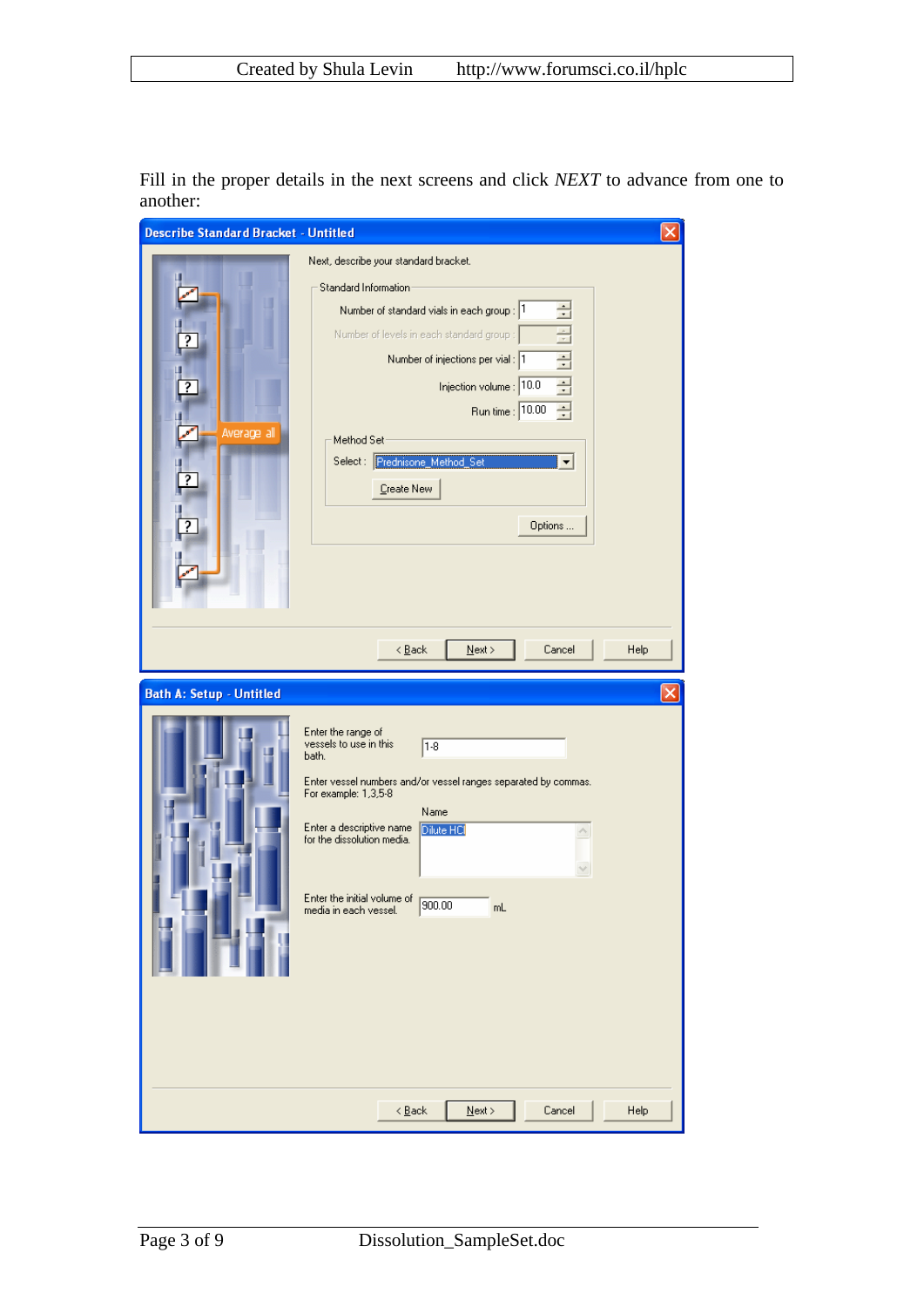Fill in the proper details in the next screens and click *NEXT* to advance from one to another:

| <b>Describe Standard Bracket - Untitled</b> |                                                                                                                                                                                                                                                                                                                                                           | $\vert \mathsf{x} \vert$ |
|---------------------------------------------|-----------------------------------------------------------------------------------------------------------------------------------------------------------------------------------------------------------------------------------------------------------------------------------------------------------------------------------------------------------|--------------------------|
| Average all<br>╔                            | Next, describe your standard bracket.<br>Standard Information<br>÷<br>Number of standard vials in each group : 1<br>름<br>Number of levels in each standard group :<br><b>EFILE</b><br>Number of injections per vial : 1<br>Injection volume : 10.0<br>골<br>Run time : 10.00<br>Method Set-<br>Select: Prednisone Method Set<br>▼<br>Create New<br>Options |                          |
|                                             | $N$ ext ><br>$\leq$ $\underline{\mathsf{B}}$ ack<br>Cancel<br>Help                                                                                                                                                                                                                                                                                        |                          |
| <b>Bath A: Setup - Untitled</b>             | Enter the range of<br>vessels to use in this<br>$ 1-8 $<br>bath.<br>Enter vessel numbers and/or vessel ranges separated by commas.<br>For example: 1,3,5-8<br>Name<br>Enter a descriptive name<br>Dilute HCI<br>×,<br>for the dissolution media.<br>Enter the initial volume of<br>900.00<br>mL<br>media in each vessel.                                  | ×                        |
|                                             | $\leq$ $\underline{\mathsf{B}}$ ack<br>$Next$<br>Cancel<br>Help                                                                                                                                                                                                                                                                                           |                          |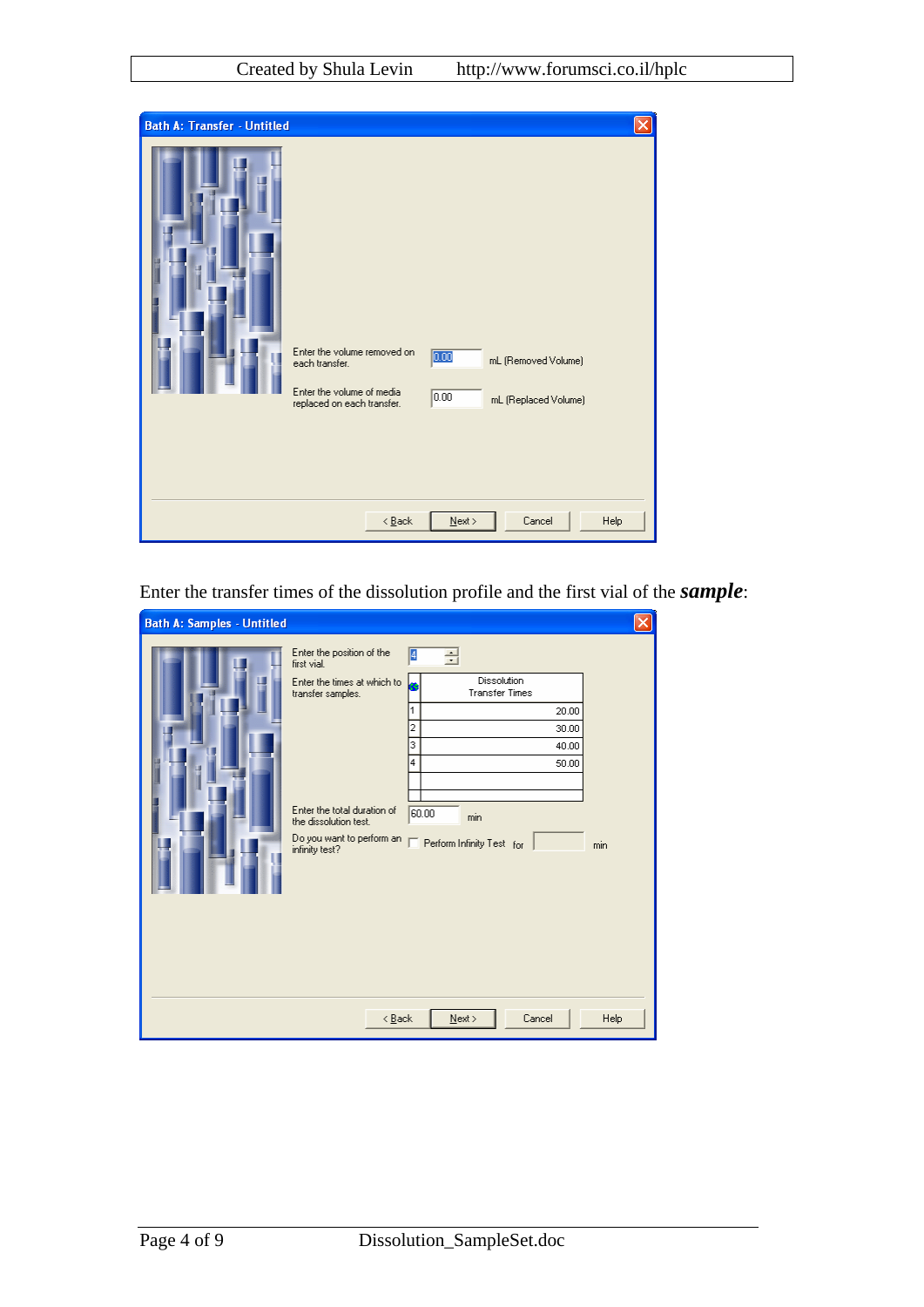| <b>Bath A: Transfer - Untitled</b> |                                                                                                          |                                                                       |  |
|------------------------------------|----------------------------------------------------------------------------------------------------------|-----------------------------------------------------------------------|--|
|                                    | Enter the volume removed on<br>each transfer.<br>Enter the volume of media<br>replaced on each transfer. | 0.00<br>mL (Removed Volume)<br>$\boxed{0.00}$<br>mL (Replaced Volume) |  |
|                                    | $\leq$ $\underline{\mathsf{B}}$ ack                                                                      | $N$ ext ><br>Cancel<br>Help                                           |  |

Enter the transfer times of the dissolution profile and the first vial of the *sample*:

| <b>Bath A: Samples - Untitled</b> |                                                                                                                                                                                                     |                                                                                                                                                |          |
|-----------------------------------|-----------------------------------------------------------------------------------------------------------------------------------------------------------------------------------------------------|------------------------------------------------------------------------------------------------------------------------------------------------|----------|
|                                   | Enter the position of the<br>first vial.<br>Enter the times at which to<br>transfer samples.<br>Enter the total duration of<br>the dissolution test.<br>Do you want to perform an<br>infinity test? | Ø<br>Ē<br>Dissolution<br><b>Transfer Times</b><br>20.00<br>2<br>30.00<br>з<br>40.00<br>4<br>50.00<br>60.00<br>min<br>Perform Infinity Test for | ×<br>min |
|                                   | $\leq$ $\underline{B}$ ack                                                                                                                                                                          | Cancel<br>$N$ ext >                                                                                                                            | Help     |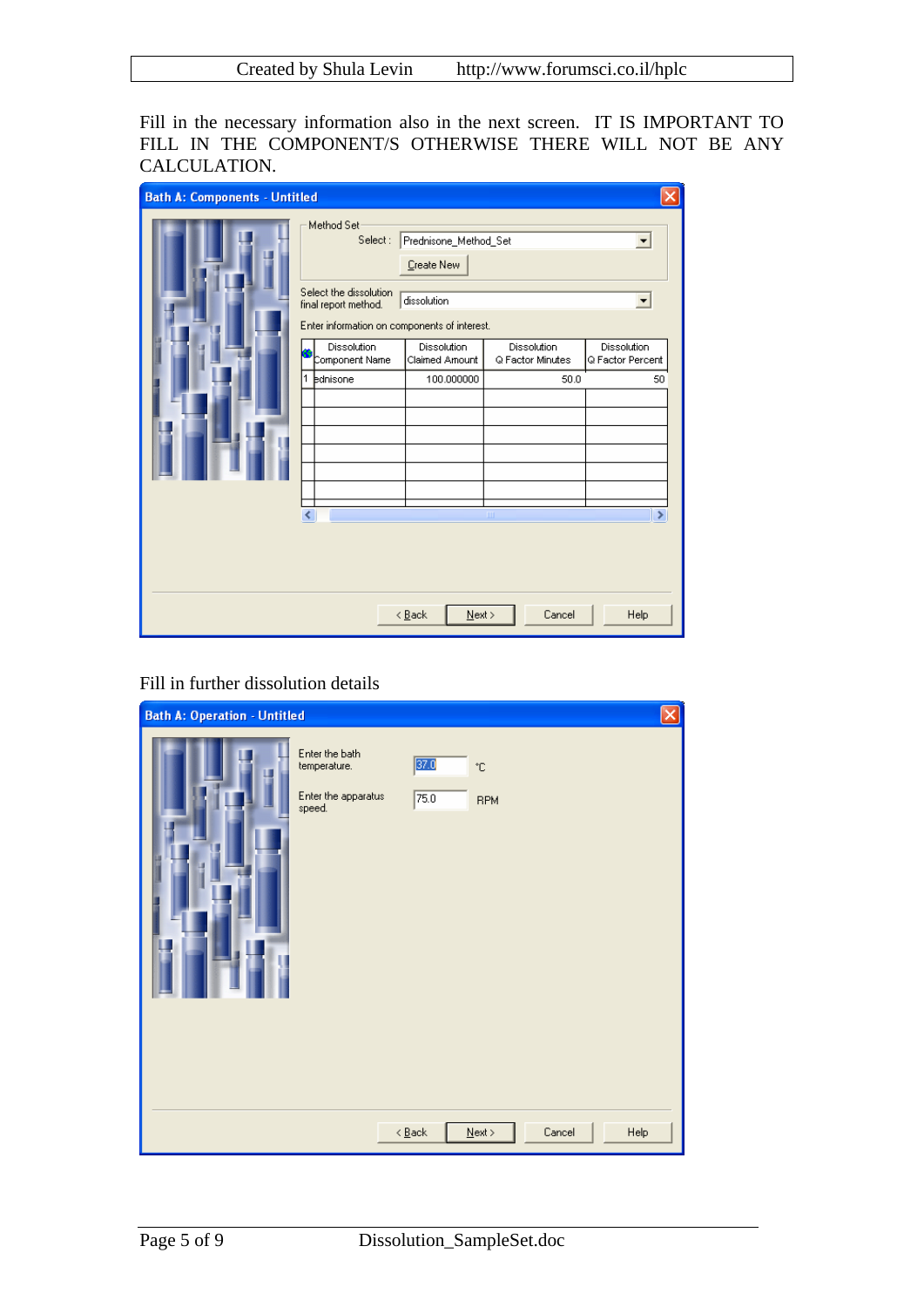Fill in the necessary information also in the next screen. IT IS IMPORTANT TO FILL IN THE COMPONENT/S OTHERWISE THERE WILL NOT BE ANY CALCULATION.

| <b>Bath A: Components - Untitled</b> |                                                                                                                                                                                        |                                                                                                   |                                                 |                                       |
|--------------------------------------|----------------------------------------------------------------------------------------------------------------------------------------------------------------------------------------|---------------------------------------------------------------------------------------------------|-------------------------------------------------|---------------------------------------|
|                                      | Method Set<br>Select:<br>Select the dissolution<br>final report method.<br>Enter information on components of interest.<br>Dissolution<br>Component Name<br>$\overline{1}$<br>bdnisone | Prednisone_Method_Set<br>Create New<br>dissolution<br>Dissolution<br>Claimed Amount<br>100.000000 | Dissolution<br>Q Factor Minutes<br>50.0         | Dissolution<br>Q Factor Percent<br>50 |
|                                      | ∢                                                                                                                                                                                      | $N$ ext ><br>$\leq$ Back                                                                          | $\begin{array}{c} \hline \end{array}$<br>Cancel | $\rightarrow$<br>Help                 |

#### Fill in further dissolution details

| <b>Bath A: Operation - Untitled</b> |                                                                 |                                     |                                 |        |      |
|-------------------------------------|-----------------------------------------------------------------|-------------------------------------|---------------------------------|--------|------|
|                                     | Enter the bath<br>temperature.<br>Enter the apparatus<br>speed. | 37.0<br>75.0                        | $^\circ \text{C}$<br><b>RPM</b> |        |      |
|                                     |                                                                 | $\leq$ $\underline{\mathsf{B}}$ ack | ${\underline{\sf Next}}$        | Cancel | Help |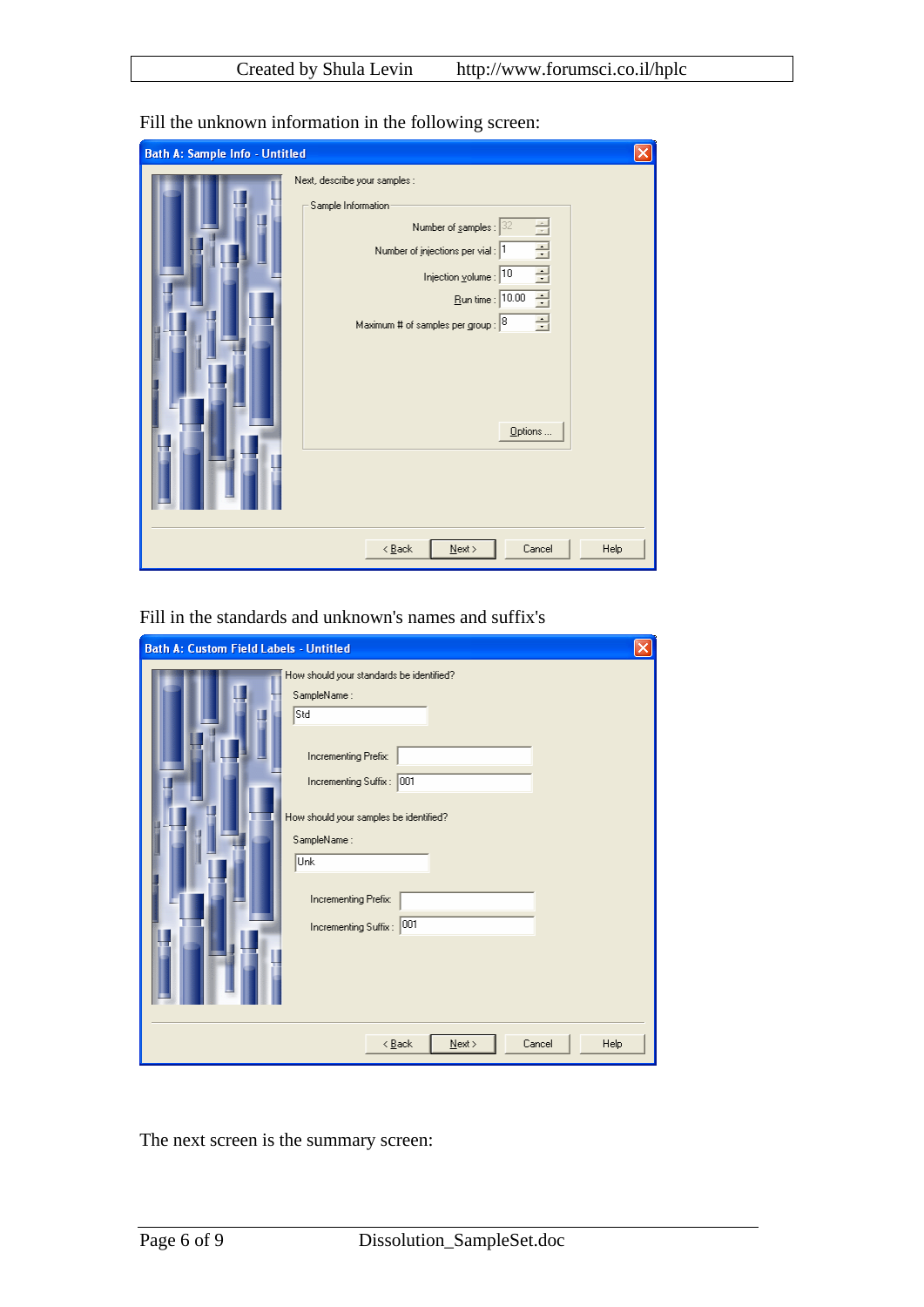| <b>Bath A: Sample Info - Untitled</b> |                                                                                                                                                                                                                                                                    |  |
|---------------------------------------|--------------------------------------------------------------------------------------------------------------------------------------------------------------------------------------------------------------------------------------------------------------------|--|
|                                       | Next, describe your samples :<br>Sample Information:<br>Number of samples : $32$<br>골<br>로<br>Number of injections per vial : 1<br>골<br>Injection volume : 10<br>$\overline{\mathbf{r}}$<br>Eun time : 10.00<br>골<br>Maximum # of samples per group : 8<br>Options |  |
|                                       | $\leq$ $\underline{B}$ ack<br>$\underline{\sf Next}$ ><br>Cancel<br>Help                                                                                                                                                                                           |  |

Fill the unknown information in the following screen:

Fill in the standards and unknown's names and suffix's

The next screen is the summary screen: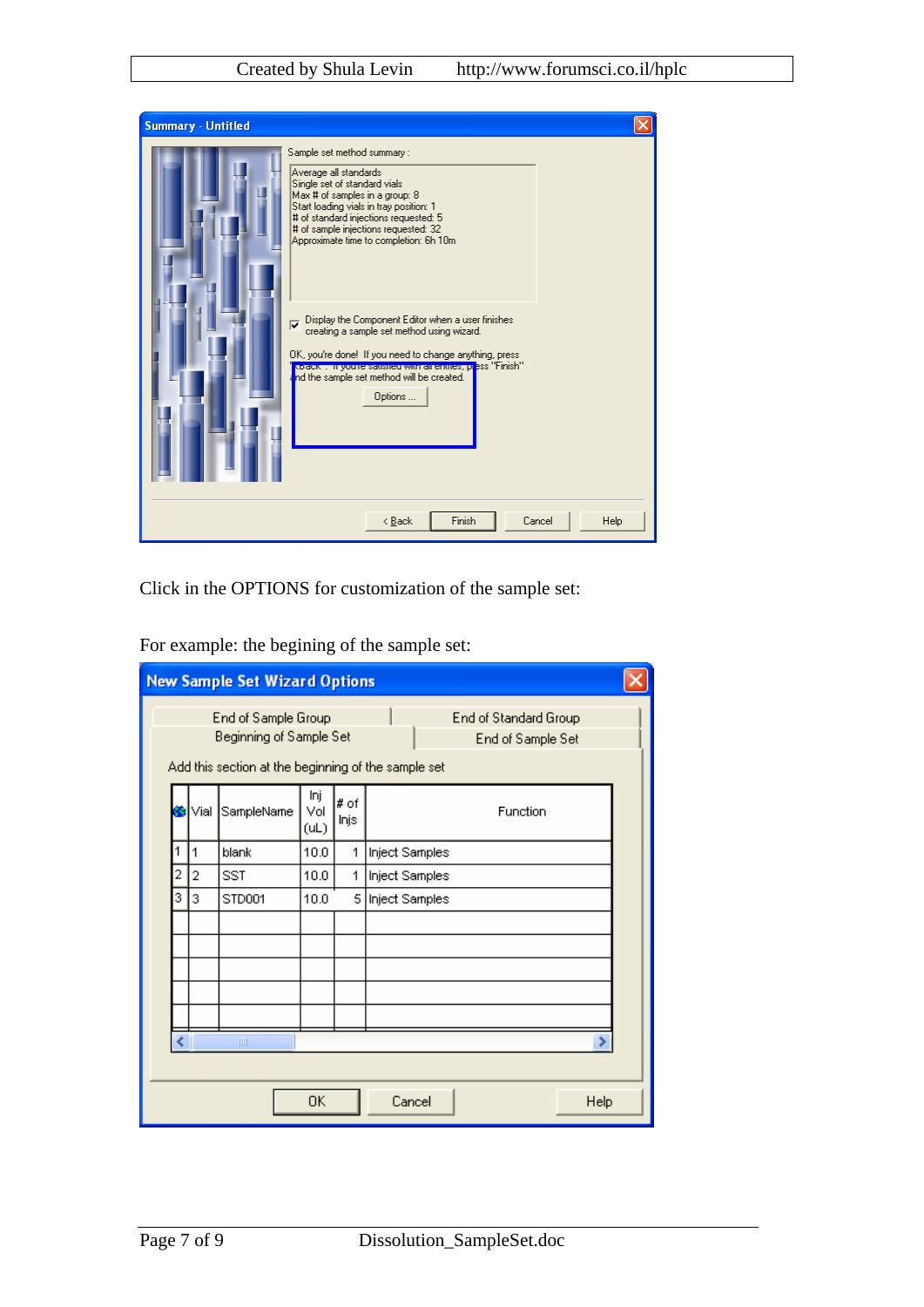| <b>Summary - Untitled</b> |                                                                                                                                                                                                                                                                                                             |  |
|---------------------------|-------------------------------------------------------------------------------------------------------------------------------------------------------------------------------------------------------------------------------------------------------------------------------------------------------------|--|
|                           | Sample set method summary:<br>Average all standards<br>Single set of standard vials<br>Max # of samples in a group: 8<br>Start loading vials in tray position: 1<br># of standard injections requested: 5<br># of sample injections requested: 32<br>Approximate time to completion: 6h 10m                 |  |
|                           | Display the Component Editor when a user finishes<br>$\overline{\mathbf{v}}$<br>creating a sample set method using wizard.<br>OK, you're done! If you need to change anything, press<br>kibiack . In you're saushed with air enthes, press "Finish"<br>nd the sample set method will be created.<br>Options |  |
|                           | Finish<br>Cancel<br>Help<br>< Back                                                                                                                                                                                                                                                                          |  |

Click in the OPTIONS for customization of the sample set:

|   |                                                                                                                                                     | <b>New Sample Set Wizard Options</b> |                    |                |                |  |  |  |  |
|---|-----------------------------------------------------------------------------------------------------------------------------------------------------|--------------------------------------|--------------------|----------------|----------------|--|--|--|--|
|   | End of Standard Group<br>End of Sample Group<br>Beginning of Sample Set<br>End of Sample Set<br>Add this section at the beginning of the sample set |                                      |                    |                |                |  |  |  |  |
|   | Vial                                                                                                                                                | SampleName                           | Inj<br>Vol<br>(UL) | $#$ of<br>Injs | Function       |  |  |  |  |
| 1 | $\overline{1}$                                                                                                                                      | blank                                | 10.0               | 1              | Inject Samples |  |  |  |  |
| 2 | 2                                                                                                                                                   | <b>SST</b>                           | 10.0               | 1              | Inject Samples |  |  |  |  |
| 3 | 3                                                                                                                                                   | STD001<br>$\mathbf{III}$             | 10.0               | 51             | Inject Samples |  |  |  |  |
|   | <b>OK</b><br>Cancel<br>Help                                                                                                                         |                                      |                    |                |                |  |  |  |  |

For example: the begining of the sample set: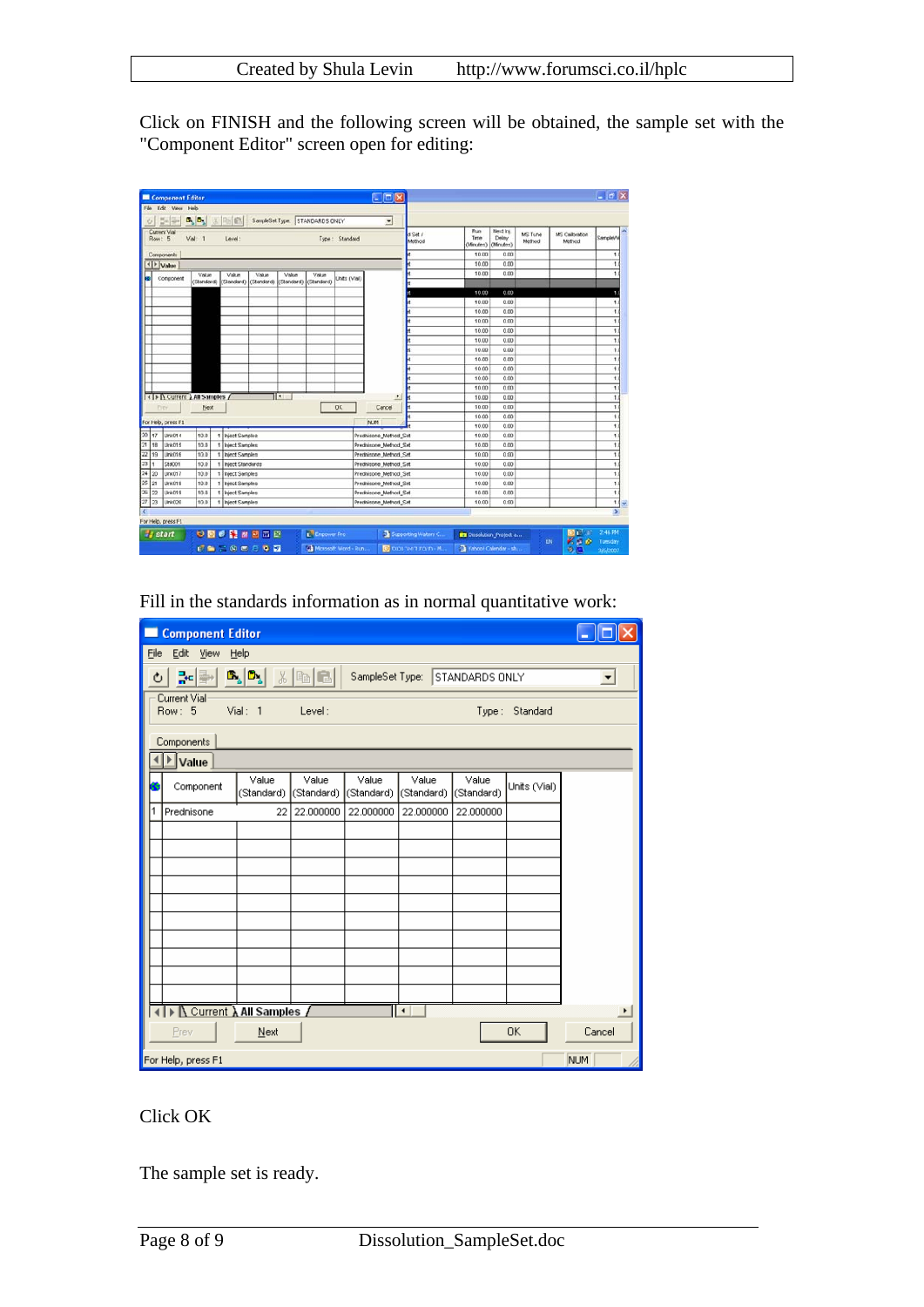Click on FINISH and the following screen will be obtained, the sample set with the "Component Editor" screen open for editing:

| File Edit View Help<br>$B_n D_n $<br>$5 - 4$<br>Current Vial<br>Vial: 1<br>Row: 5<br>Components<br>+   ⊁ Value<br>Component<br>ы | 3 国家<br>Level.<br>Value<br>Value<br>(Standard) (Standard) | Value                 | SampleSet Type: STANDARDS ONLY<br>Value<br>(Standard) (Standard) (Standard) | Value                      | Type: Standard | $\bullet$             | d Set /<br>Method        | Run<br>Time<br>(Minutes)<br>10.00 | Next Inc.<br>Delay<br>(Moutes)<br>0.00 | MS Tune<br>Method | MS Calibration<br>Method | SampleWe             |
|----------------------------------------------------------------------------------------------------------------------------------|-----------------------------------------------------------|-----------------------|-----------------------------------------------------------------------------|----------------------------|----------------|-----------------------|--------------------------|-----------------------------------|----------------------------------------|-------------------|--------------------------|----------------------|
|                                                                                                                                  |                                                           |                       |                                                                             |                            |                |                       |                          |                                   |                                        |                   |                          |                      |
|                                                                                                                                  |                                                           |                       |                                                                             |                            |                |                       |                          |                                   |                                        |                   |                          |                      |
|                                                                                                                                  |                                                           |                       |                                                                             |                            |                |                       |                          |                                   |                                        |                   |                          |                      |
|                                                                                                                                  |                                                           |                       |                                                                             |                            |                |                       |                          |                                   |                                        |                   |                          | ۹                    |
|                                                                                                                                  |                                                           |                       |                                                                             |                            |                |                       |                          | 10.00                             | 0.00                                   |                   |                          |                      |
|                                                                                                                                  |                                                           |                       |                                                                             |                            | Delvis CViala  |                       |                          | 10.00                             | 0.00                                   |                   |                          |                      |
|                                                                                                                                  |                                                           |                       |                                                                             |                            |                |                       |                          |                                   |                                        |                   |                          |                      |
|                                                                                                                                  |                                                           |                       |                                                                             |                            |                |                       |                          | 10.00                             | 0.00                                   |                   |                          |                      |
|                                                                                                                                  |                                                           |                       |                                                                             |                            |                |                       |                          | 10.00                             | 0.00                                   |                   |                          |                      |
|                                                                                                                                  |                                                           |                       |                                                                             |                            |                |                       |                          | 10.00                             | 0.00                                   |                   |                          | t.                   |
|                                                                                                                                  |                                                           |                       |                                                                             |                            |                |                       |                          | 10.00                             | 0.00                                   |                   |                          | 1                    |
|                                                                                                                                  |                                                           |                       |                                                                             |                            |                |                       |                          | 10.00                             | 0.00                                   |                   |                          | ٠                    |
|                                                                                                                                  |                                                           |                       |                                                                             |                            |                |                       |                          | 10.00                             | 0.00                                   |                   |                          | ١                    |
|                                                                                                                                  |                                                           |                       |                                                                             |                            |                |                       |                          | 10.00                             | 0.00                                   |                   |                          | ŧ                    |
|                                                                                                                                  |                                                           |                       |                                                                             |                            |                |                       |                          | 10.00                             | 0.00                                   |                   |                          | 1                    |
|                                                                                                                                  |                                                           |                       |                                                                             |                            |                |                       |                          | 10.00                             | 0.00                                   |                   |                          | 1.                   |
|                                                                                                                                  |                                                           |                       |                                                                             |                            |                |                       |                          | 10.00                             | 0.00                                   |                   |                          | t.                   |
|                                                                                                                                  |                                                           |                       |                                                                             |                            |                |                       |                          | 10.00                             | 0.00                                   |                   |                          | U                    |
| <1> A Current A All Samples /                                                                                                    |                                                           |                       | ार                                                                          |                            |                |                       |                          | 10.00                             | 0.00                                   |                   |                          | t.                   |
| <b>Diey</b>                                                                                                                      | Next                                                      |                       |                                                                             |                            | <b>OK</b>      | Cancel                |                          | 10.00                             | 0.00                                   |                   |                          | ٠                    |
| For Help, press F1                                                                                                               |                                                           |                       |                                                                             |                            |                | NUM                   |                          | 10.00                             | 0.00                                   |                   |                          | 1                    |
|                                                                                                                                  |                                                           |                       |                                                                             |                            |                |                       |                          | 10.00                             | 0.00                                   |                   |                          | t.                   |
| 20 <sub>1</sub><br>17<br><b>Ura014</b>                                                                                           | 10.0<br>1                                                 | <b>Inject Samples</b> |                                                                             |                            |                | Predhisone Method Set |                          | 10.00                             | 0.00                                   |                   |                          | ١                    |
| 21<br>Urk015<br>18                                                                                                               | 10.0<br>t                                                 | <b>Inject Samples</b> |                                                                             |                            |                | Prednisone Method Set |                          | 10.00                             | 0.00                                   |                   |                          |                      |
| 22<br>19<br><b>Unk016</b>                                                                                                        | 10.0<br>1                                                 | <b>Inject Samples</b> |                                                                             |                            |                | Prednisone Method Set |                          | 10.00                             | 0.00                                   |                   |                          | ŧ                    |
| 23<br>Std001                                                                                                                     | 10.0<br>٠                                                 | Inject Standards      |                                                                             |                            |                | Prednisone_Method_Set |                          | 10.00                             | 0.00                                   |                   |                          | ٠                    |
| 24 20<br>Unk017                                                                                                                  | 10.0                                                      | 1 Inject Samples      |                                                                             |                            |                | Prednisone Method Set |                          | 10.00                             | 0.00                                   |                   |                          | $\ddot{\phantom{1}}$ |
| 25<br>21<br>Ura:018                                                                                                              | 10.0<br>1                                                 | <b>Inject Samples</b> |                                                                             | Prednisone_Method_Set      |                |                       |                          | 10.00                             | 0.00                                   |                   |                          | ţ.                   |
| Urà019<br>22<br>26                                                                                                               | 10.0                                                      | 1 Inject Samples      |                                                                             |                            |                | Prednisone Method Set |                          | 10.00                             | 0.00                                   |                   |                          | $\mathbf{1}$         |
| 27<br>23<br>Link020                                                                                                              | 10.0<br>٠                                                 | Inject Samples        |                                                                             |                            |                | Prednisone Method Set |                          | 10.00                             | 0.00                                   |                   |                          | 1.1 <sub>w</sub>     |
|                                                                                                                                  |                                                           |                       |                                                                             |                            |                |                       |                          |                                   |                                        |                   |                          | D.                   |
| For Help, press F1<br><b>Start</b>                                                                                               |                                                           | ●図6階番図四日              |                                                                             | E <sup>t</sup> Empower Pro |                |                       | Supporting Waters C.     | <b>BY Dissolution</b> Project a   |                                        |                   | <b>I</b> District        | 2:46.956             |
|                                                                                                                                  |                                                           | <b>CARGOON</b>        |                                                                             | to Microsoft Word - Run    |                |                       | $\bullet$ מיבת דושר נכנס | Tahoo! Calendar - sh              |                                        |                   | 830<br>EN<br>の市          | Tuesday<br>3/6/2007  |

Fill in the standards information as in normal quantitative work:

| <b>Component Editor</b>                                                                                                            |                                                               |                     |                     |                     |                     |                     |              |            |  |  |  |
|------------------------------------------------------------------------------------------------------------------------------------|---------------------------------------------------------------|---------------------|---------------------|---------------------|---------------------|---------------------|--------------|------------|--|--|--|
| Edit<br>Eile                                                                                                                       | <b>View</b>                                                   | Help                |                     |                     |                     |                     |              |            |  |  |  |
| $\mathbf{B}_{\mathbf{a}}[\mathbf{D}_{\mathbf{a}}]$<br>$x$ a $\blacksquare$<br>¦⊷∥≣⊷<br>STANDARDS ONLY<br>SampleSet Type:<br>Ò<br>ᅬ |                                                               |                     |                     |                     |                     |                     |              |            |  |  |  |
|                                                                                                                                    | Current Vial<br>Vial: 1<br>Row: 5<br>Level:<br>Type: Standard |                     |                     |                     |                     |                     |              |            |  |  |  |
|                                                                                                                                    | <b>Components</b>                                             |                     |                     |                     |                     |                     |              |            |  |  |  |
| $\blacktriangleright$ Value                                                                                                        |                                                               |                     |                     |                     |                     |                     |              |            |  |  |  |
|                                                                                                                                    | Component                                                     | Value<br>(Standard) | Value<br>(Standard) | Value<br>(Standard) | Value<br>(Standard) | Value<br>(Standard) | Units (Vial) |            |  |  |  |
| 1                                                                                                                                  | Prednisone                                                    | 22                  | 22.000000           | 22.000000           | 22.000000           | 22.000000           |              |            |  |  |  |
|                                                                                                                                    |                                                               |                     |                     |                     |                     |                     |              |            |  |  |  |
|                                                                                                                                    |                                                               |                     |                     |                     |                     |                     |              |            |  |  |  |
|                                                                                                                                    |                                                               |                     |                     |                     |                     |                     |              |            |  |  |  |
|                                                                                                                                    |                                                               |                     |                     |                     |                     |                     |              |            |  |  |  |
|                                                                                                                                    |                                                               |                     |                     |                     |                     |                     |              |            |  |  |  |
|                                                                                                                                    |                                                               |                     |                     |                     |                     |                     |              |            |  |  |  |
|                                                                                                                                    |                                                               |                     |                     |                     |                     |                     |              |            |  |  |  |
|                                                                                                                                    |                                                               |                     |                     |                     |                     |                     |              |            |  |  |  |
|                                                                                                                                    |                                                               |                     |                     |                     |                     |                     |              |            |  |  |  |
|                                                                                                                                    | ▶ Current A All Samples /<br>۰<br>۲                           |                     |                     |                     |                     |                     |              |            |  |  |  |
| Prev                                                                                                                               |                                                               | Next                |                     |                     |                     |                     | 0K           | Cancel     |  |  |  |
| For Help, press F1                                                                                                                 |                                                               |                     |                     |                     |                     |                     |              | <b>NUM</b> |  |  |  |

### Click OK

The sample set is ready.